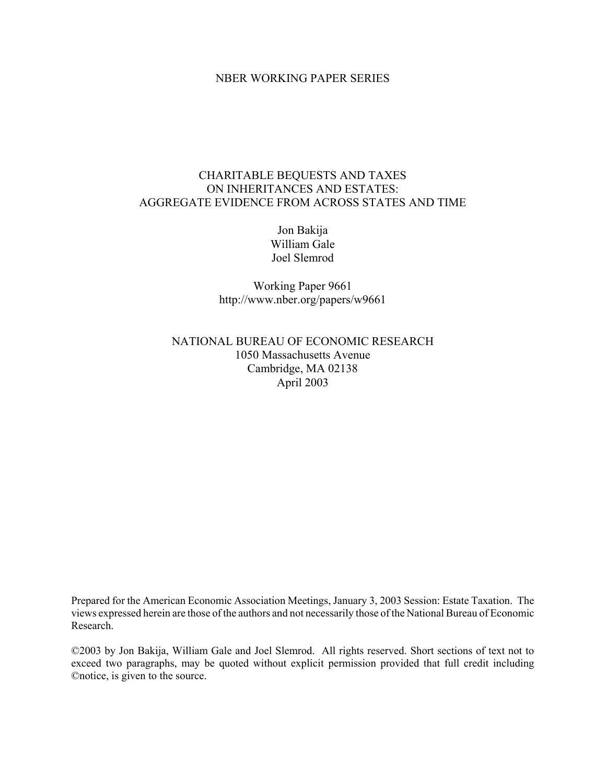#### NBER WORKING PAPER SERIES

# CHARITABLE BEQUESTS AND TAXES ON INHERITANCES AND ESTATES: AGGREGATE EVIDENCE FROM ACROSS STATES AND TIME

Jon Bakija William Gale Joel Slemrod

Working Paper 9661 http://www.nber.org/papers/w9661

## NATIONAL BUREAU OF ECONOMIC RESEARCH 1050 Massachusetts Avenue Cambridge, MA 02138 April 2003

Prepared for the American Economic Association Meetings, January 3, 2003 Session: Estate Taxation. The views expressed herein are those of the authors and not necessarily those of the National Bureau of Economic Research.

©2003 by Jon Bakija, William Gale and Joel Slemrod. All rights reserved. Short sections of text not to exceed two paragraphs, may be quoted without explicit permission provided that full credit including ©notice, is given to the source.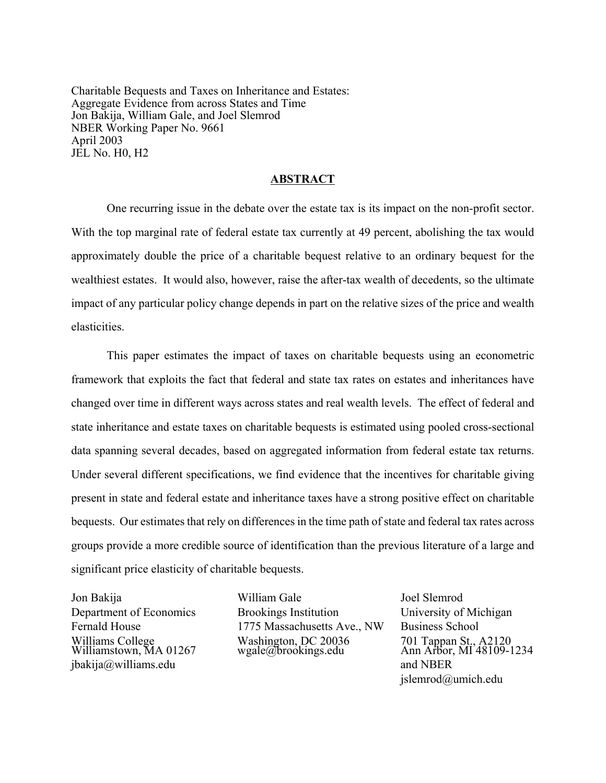Charitable Bequests and Taxes on Inheritance and Estates: Aggregate Evidence from across States and Time Jon Bakija, William Gale, and Joel Slemrod NBER Working Paper No. 9661 April 2003 JEL No. H0, H2

#### **ABSTRACT**

One recurring issue in the debate over the estate tax is its impact on the non-profit sector. With the top marginal rate of federal estate tax currently at 49 percent, abolishing the tax would approximately double the price of a charitable bequest relative to an ordinary bequest for the wealthiest estates. It would also, however, raise the after-tax wealth of decedents, so the ultimate impact of any particular policy change depends in part on the relative sizes of the price and wealth elasticities.

This paper estimates the impact of taxes on charitable bequests using an econometric framework that exploits the fact that federal and state tax rates on estates and inheritances have changed over time in different ways across states and real wealth levels. The effect of federal and state inheritance and estate taxes on charitable bequests is estimated using pooled cross-sectional data spanning several decades, based on aggregated information from federal estate tax returns. Under several different specifications, we find evidence that the incentives for charitable giving present in state and federal estate and inheritance taxes have a strong positive effect on charitable bequests. Our estimates that rely on differences in the time path of state and federal tax rates across groups provide a more credible source of identification than the previous literature of a large and significant price elasticity of charitable bequests.

Williams College Washington, DC 20036<br>Williamstown, MA 01267 wgale@brookings.edu jbakija@williams.edu and NBER

Jon Bakija William Gale Joel Slemrod Department of Economics Brookings Institution University of Michigan Fernald House 1775 Massachusetts Ave., NW Business School

701 Tappan St., A2120<br>Ann Arbor, MI 48109-1234 jslemrod@umich.edu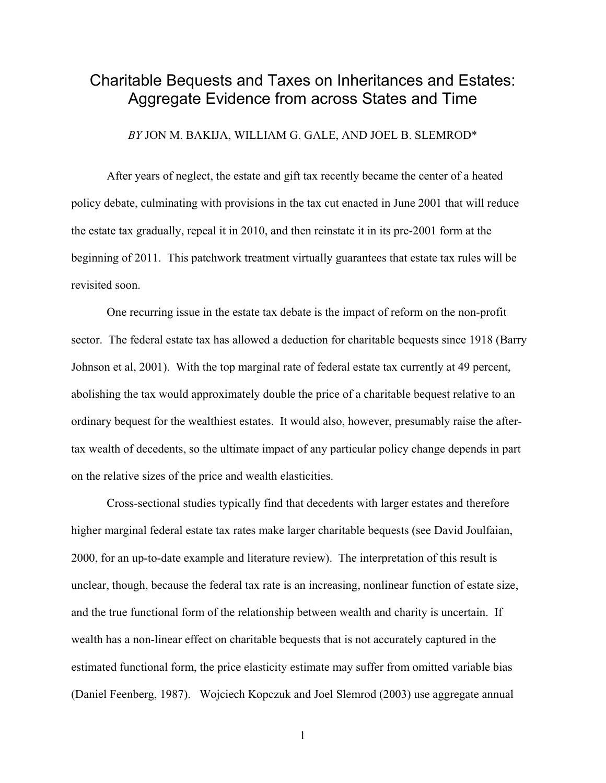# Charitable Bequests and Taxes on Inheritances and Estates: Aggregate Evidence from across States and Time

*BY* JON M. BAKIJA, WILLIAM G. GALE, AND JOEL B. SLEMROD\*

After years of neglect, the estate and gift tax recently became the center of a heated policy debate, culminating with provisions in the tax cut enacted in June 2001 that will reduce the estate tax gradually, repeal it in 2010, and then reinstate it in its pre-2001 form at the beginning of 2011. This patchwork treatment virtually guarantees that estate tax rules will be revisited soon.

One recurring issue in the estate tax debate is the impact of reform on the non-profit sector. The federal estate tax has allowed a deduction for charitable bequests since 1918 (Barry Johnson et al, 2001). With the top marginal rate of federal estate tax currently at 49 percent, abolishing the tax would approximately double the price of a charitable bequest relative to an ordinary bequest for the wealthiest estates. It would also, however, presumably raise the aftertax wealth of decedents, so the ultimate impact of any particular policy change depends in part on the relative sizes of the price and wealth elasticities.

Cross-sectional studies typically find that decedents with larger estates and therefore higher marginal federal estate tax rates make larger charitable bequests (see David Joulfaian, 2000, for an up-to-date example and literature review). The interpretation of this result is unclear, though, because the federal tax rate is an increasing, nonlinear function of estate size, and the true functional form of the relationship between wealth and charity is uncertain. If wealth has a non-linear effect on charitable bequests that is not accurately captured in the estimated functional form, the price elasticity estimate may suffer from omitted variable bias (Daniel Feenberg, 1987). Wojciech Kopczuk and Joel Slemrod (2003) use aggregate annual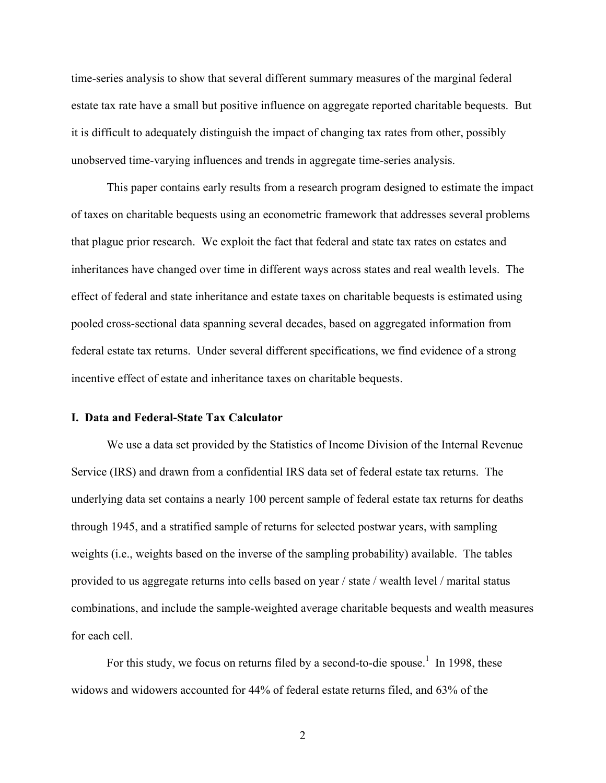time-series analysis to show that several different summary measures of the marginal federal estate tax rate have a small but positive influence on aggregate reported charitable bequests. But it is difficult to adequately distinguish the impact of changing tax rates from other, possibly unobserved time-varying influences and trends in aggregate time-series analysis.

This paper contains early results from a research program designed to estimate the impact of taxes on charitable bequests using an econometric framework that addresses several problems that plague prior research. We exploit the fact that federal and state tax rates on estates and inheritances have changed over time in different ways across states and real wealth levels. The effect of federal and state inheritance and estate taxes on charitable bequests is estimated using pooled cross-sectional data spanning several decades, based on aggregated information from federal estate tax returns. Under several different specifications, we find evidence of a strong incentive effect of estate and inheritance taxes on charitable bequests.

#### **I. Data and Federal-State Tax Calculator**

We use a data set provided by the Statistics of Income Division of the Internal Revenue Service (IRS) and drawn from a confidential IRS data set of federal estate tax returns. The underlying data set contains a nearly 100 percent sample of federal estate tax returns for deaths through 1945, and a stratified sample of returns for selected postwar years, with sampling weights (i.e., weights based on the inverse of the sampling probability) available. The tables provided to us aggregate returns into cells based on year / state / wealth level / marital status combinations, and include the sample-weighted average charitable bequests and wealth measures for each cell.

For this study, we focus on returns filed by a second-to-die spouse.<sup>1</sup> In 1998, these widows and widowers accounted for 44% of federal estate returns filed, and 63% of the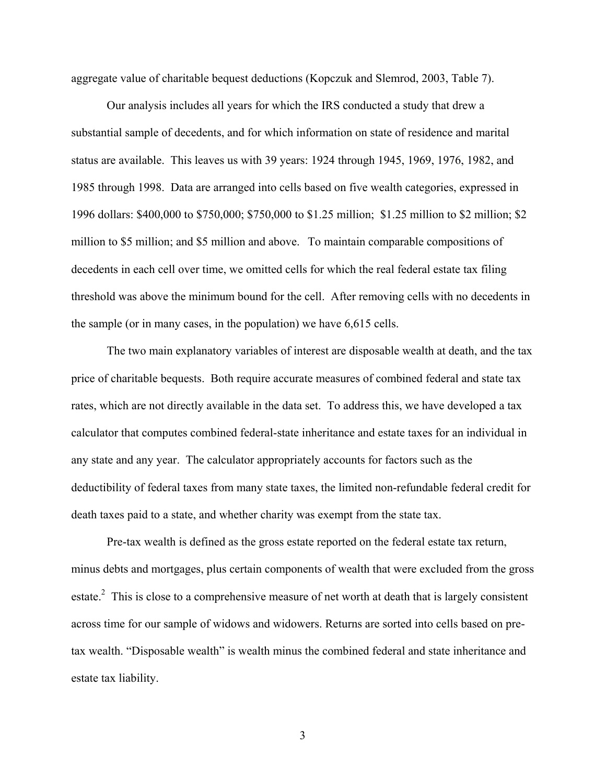aggregate value of charitable bequest deductions (Kopczuk and Slemrod, 2003, Table 7).

Our analysis includes all years for which the IRS conducted a study that drew a substantial sample of decedents, and for which information on state of residence and marital status are available. This leaves us with 39 years: 1924 through 1945, 1969, 1976, 1982, and 1985 through 1998. Data are arranged into cells based on five wealth categories, expressed in 1996 dollars: \$400,000 to \$750,000; \$750,000 to \$1.25 million; \$1.25 million to \$2 million; \$2 million to \$5 million; and \$5 million and above. To maintain comparable compositions of decedents in each cell over time, we omitted cells for which the real federal estate tax filing threshold was above the minimum bound for the cell. After removing cells with no decedents in the sample (or in many cases, in the population) we have 6,615 cells.

The two main explanatory variables of interest are disposable wealth at death, and the tax price of charitable bequests. Both require accurate measures of combined federal and state tax rates, which are not directly available in the data set. To address this, we have developed a tax calculator that computes combined federal-state inheritance and estate taxes for an individual in any state and any year. The calculator appropriately accounts for factors such as the deductibility of federal taxes from many state taxes, the limited non-refundable federal credit for death taxes paid to a state, and whether charity was exempt from the state tax.

Pre-tax wealth is defined as the gross estate reported on the federal estate tax return, minus debts and mortgages, plus certain components of wealth that were excluded from the gross estate.<sup>2</sup> This is close to a comprehensive measure of net worth at death that is largely consistent across time for our sample of widows and widowers. Returns are sorted into cells based on pretax wealth. "Disposable wealth" is wealth minus the combined federal and state inheritance and estate tax liability.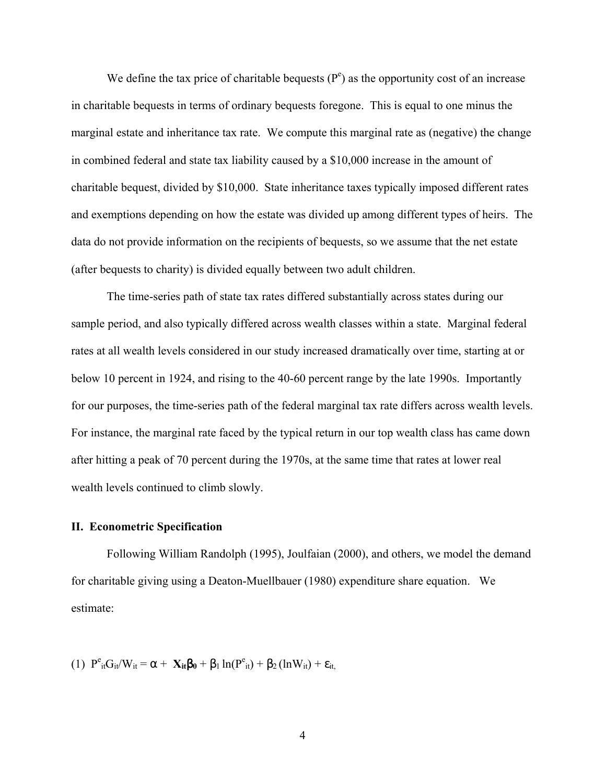We define the tax price of charitable bequests  $(P^e)$  as the opportunity cost of an increase in charitable bequests in terms of ordinary bequests foregone. This is equal to one minus the marginal estate and inheritance tax rate. We compute this marginal rate as (negative) the change in combined federal and state tax liability caused by a \$10,000 increase in the amount of charitable bequest, divided by \$10,000. State inheritance taxes typically imposed different rates and exemptions depending on how the estate was divided up among different types of heirs. The data do not provide information on the recipients of bequests, so we assume that the net estate (after bequests to charity) is divided equally between two adult children.

The time-series path of state tax rates differed substantially across states during our sample period, and also typically differed across wealth classes within a state. Marginal federal rates at all wealth levels considered in our study increased dramatically over time, starting at or below 10 percent in 1924, and rising to the 40-60 percent range by the late 1990s. Importantly for our purposes, the time-series path of the federal marginal tax rate differs across wealth levels. For instance, the marginal rate faced by the typical return in our top wealth class has came down after hitting a peak of 70 percent during the 1970s, at the same time that rates at lower real wealth levels continued to climb slowly.

#### **II. Econometric Specification**

Following William Randolph (1995), Joulfaian (2000), and others, we model the demand for charitable giving using a Deaton-Muellbauer (1980) expenditure share equation. We estimate:

(1)  $P^{e}_{it}G_{it}/W_{it} = \alpha + X_{it}\beta_0 + \beta_1 \ln(P^{e}_{it}) + \beta_2 (\ln W_{it}) + \epsilon_{it}$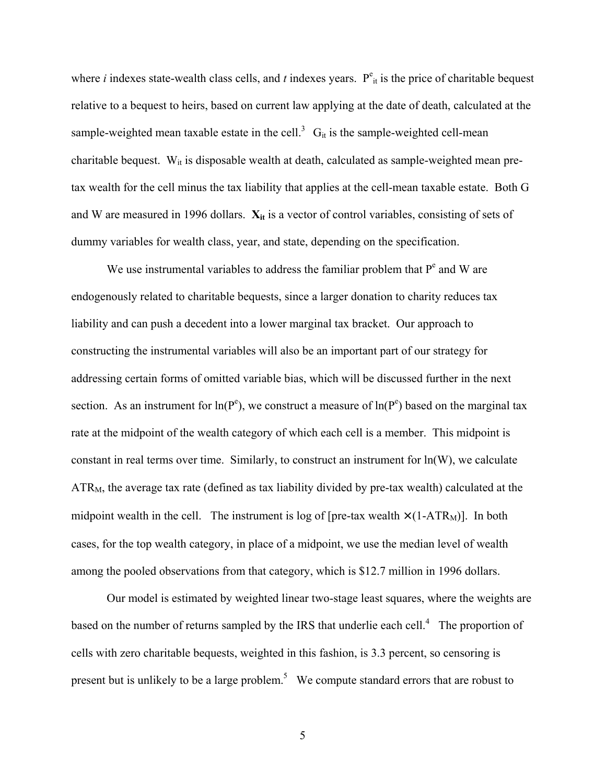where *i* indexes state-wealth class cells, and *t* indexes years.  $P^e_{it}$  is the price of charitable bequest relative to a bequest to heirs, based on current law applying at the date of death, calculated at the sample-weighted mean taxable estate in the cell.<sup>3</sup>  $G_{it}$  is the sample-weighted cell-mean charitable bequest.  $W_{it}$  is disposable wealth at death, calculated as sample-weighted mean pretax wealth for the cell minus the tax liability that applies at the cell-mean taxable estate. Both G and W are measured in 1996 dollars. **X**<sub>it</sub> is a vector of control variables, consisting of sets of dummy variables for wealth class, year, and state, depending on the specification.

We use instrumental variables to address the familiar problem that  $P<sup>e</sup>$  and W are endogenously related to charitable bequests, since a larger donation to charity reduces tax liability and can push a decedent into a lower marginal tax bracket. Our approach to constructing the instrumental variables will also be an important part of our strategy for addressing certain forms of omitted variable bias, which will be discussed further in the next section. As an instrument for  $ln(P^e)$ , we construct a measure of  $ln(P^e)$  based on the marginal tax rate at the midpoint of the wealth category of which each cell is a member. This midpoint is constant in real terms over time. Similarly, to construct an instrument for ln(W), we calculate ATRM, the average tax rate (defined as tax liability divided by pre-tax wealth) calculated at the midpoint wealth in the cell. The instrument is log of [pre-tax wealth  $\times$  (1-ATR<sub>M</sub>)]. In both cases, for the top wealth category, in place of a midpoint, we use the median level of wealth among the pooled observations from that category, which is \$12.7 million in 1996 dollars.

Our model is estimated by weighted linear two-stage least squares, where the weights are based on the number of returns sampled by the IRS that underlie each cell. $4$  The proportion of cells with zero charitable bequests, weighted in this fashion, is 3.3 percent, so censoring is present but is unlikely to be a large problem.<sup>5</sup> We compute standard errors that are robust to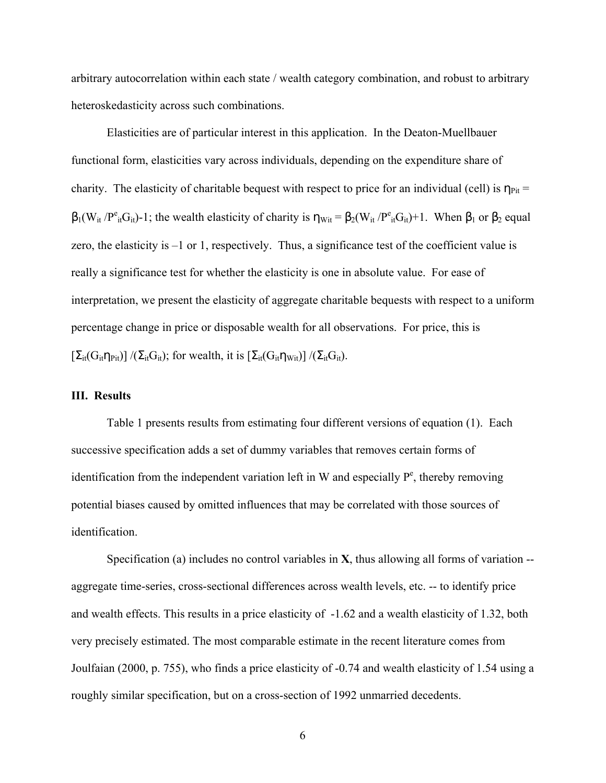arbitrary autocorrelation within each state / wealth category combination, and robust to arbitrary heteroskedasticity across such combinations.

 Elasticities are of particular interest in this application. In the Deaton-Muellbauer functional form, elasticities vary across individuals, depending on the expenditure share of charity. The elasticity of charitable bequest with respect to price for an individual (cell) is  $\eta_{\text{Pit}} =$  $\beta_1(W_{it}/P_{it}^eG_{it})-1$ ; the wealth elasticity of charity is  $\eta_{wit} = \beta_2(W_{it}/P_{it}^eG_{it})+1$ . When  $\beta_1$  or  $\beta_2$  equal zero, the elasticity is –1 or 1, respectively. Thus, a significance test of the coefficient value is really a significance test for whether the elasticity is one in absolute value. For ease of interpretation, we present the elasticity of aggregate charitable bequests with respect to a uniform percentage change in price or disposable wealth for all observations. For price, this is  $[\Sigma_{it}(G_{it}\eta_{Pit})]/(\Sigma_{it}G_{it})$ ; for wealth, it is  $[\Sigma_{it}(G_{it}\eta_{Wit})]/(\Sigma_{it}G_{it})$ .

#### **III. Results**

Table 1 presents results from estimating four different versions of equation (1). Each successive specification adds a set of dummy variables that removes certain forms of identification from the independent variation left in W and especially  $P^e$ , thereby removing potential biases caused by omitted influences that may be correlated with those sources of identification.

Specification (a) includes no control variables in **X**, thus allowing all forms of variation - aggregate time-series, cross-sectional differences across wealth levels, etc. -- to identify price and wealth effects. This results in a price elasticity of -1.62 and a wealth elasticity of 1.32, both very precisely estimated. The most comparable estimate in the recent literature comes from Joulfaian (2000, p. 755), who finds a price elasticity of -0.74 and wealth elasticity of 1.54 using a roughly similar specification, but on a cross-section of 1992 unmarried decedents.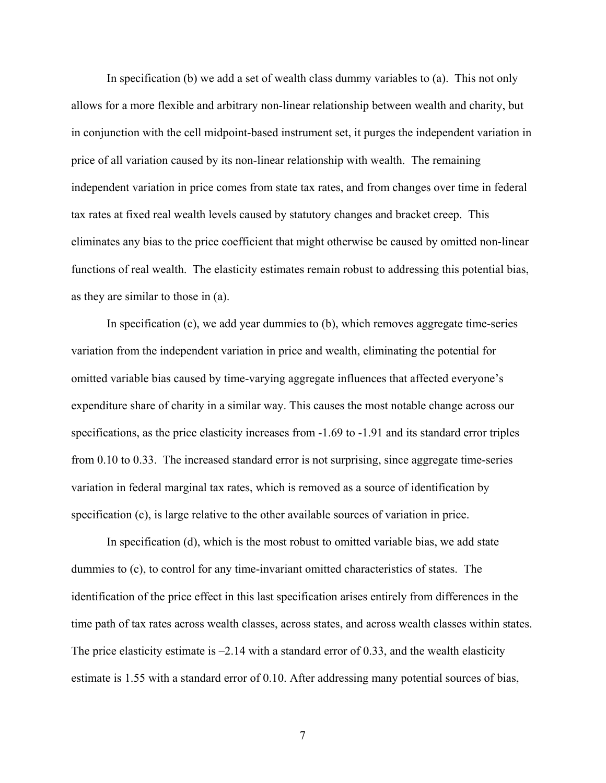In specification (b) we add a set of wealth class dummy variables to (a). This not only allows for a more flexible and arbitrary non-linear relationship between wealth and charity, but in conjunction with the cell midpoint-based instrument set, it purges the independent variation in price of all variation caused by its non-linear relationship with wealth. The remaining independent variation in price comes from state tax rates, and from changes over time in federal tax rates at fixed real wealth levels caused by statutory changes and bracket creep. This eliminates any bias to the price coefficient that might otherwise be caused by omitted non-linear functions of real wealth. The elasticity estimates remain robust to addressing this potential bias, as they are similar to those in (a).

In specification (c), we add year dummies to (b), which removes aggregate time-series variation from the independent variation in price and wealth, eliminating the potential for omitted variable bias caused by time-varying aggregate influences that affected everyone's expenditure share of charity in a similar way. This causes the most notable change across our specifications, as the price elasticity increases from -1.69 to -1.91 and its standard error triples from 0.10 to 0.33. The increased standard error is not surprising, since aggregate time-series variation in federal marginal tax rates, which is removed as a source of identification by specification (c), is large relative to the other available sources of variation in price.

In specification (d), which is the most robust to omitted variable bias, we add state dummies to (c), to control for any time-invariant omitted characteristics of states. The identification of the price effect in this last specification arises entirely from differences in the time path of tax rates across wealth classes, across states, and across wealth classes within states. The price elasticity estimate is  $-2.14$  with a standard error of 0.33, and the wealth elasticity estimate is 1.55 with a standard error of 0.10. After addressing many potential sources of bias,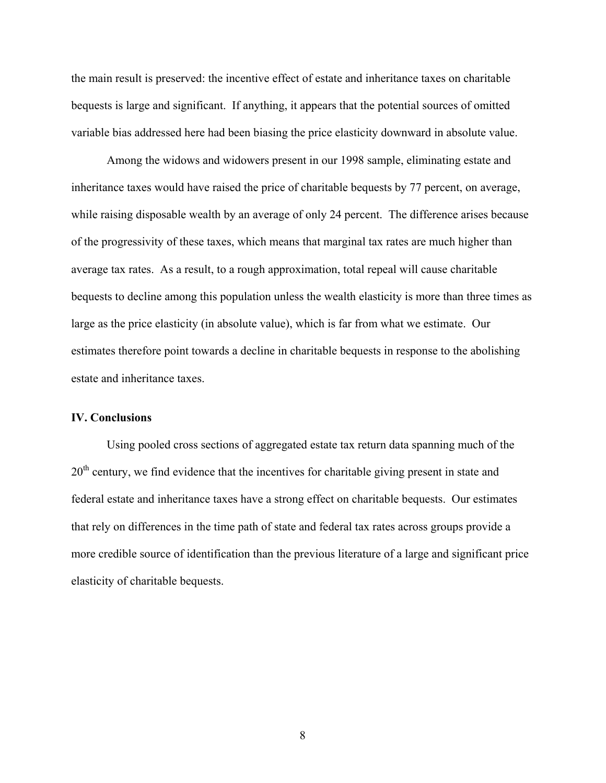the main result is preserved: the incentive effect of estate and inheritance taxes on charitable bequests is large and significant. If anything, it appears that the potential sources of omitted variable bias addressed here had been biasing the price elasticity downward in absolute value.

 Among the widows and widowers present in our 1998 sample, eliminating estate and inheritance taxes would have raised the price of charitable bequests by 77 percent, on average, while raising disposable wealth by an average of only 24 percent. The difference arises because of the progressivity of these taxes, which means that marginal tax rates are much higher than average tax rates. As a result, to a rough approximation, total repeal will cause charitable bequests to decline among this population unless the wealth elasticity is more than three times as large as the price elasticity (in absolute value), which is far from what we estimate. Our estimates therefore point towards a decline in charitable bequests in response to the abolishing estate and inheritance taxes.

#### **IV. Conclusions**

Using pooled cross sections of aggregated estate tax return data spanning much of the 20<sup>th</sup> century, we find evidence that the incentives for charitable giving present in state and federal estate and inheritance taxes have a strong effect on charitable bequests. Our estimates that rely on differences in the time path of state and federal tax rates across groups provide a more credible source of identification than the previous literature of a large and significant price elasticity of charitable bequests.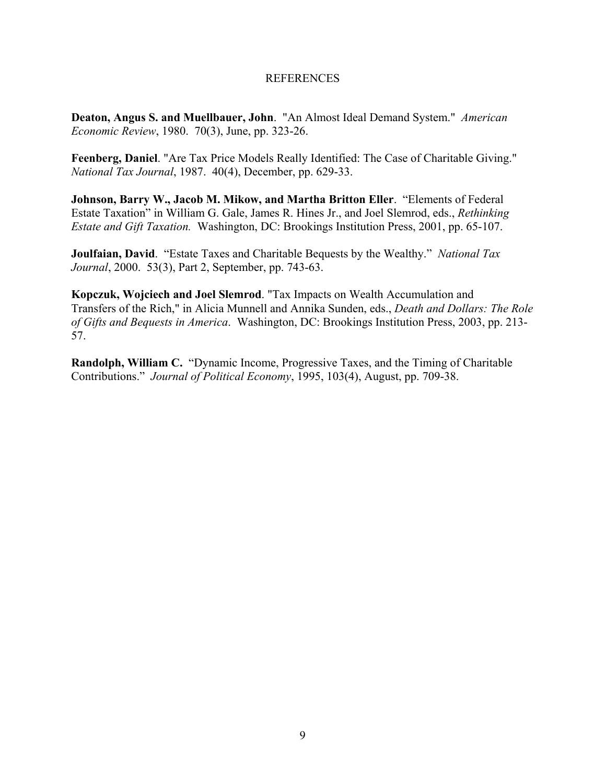### REFERENCES

**Deaton, Angus S. and Muellbauer, John**. "An Almost Ideal Demand System." *American Economic Review*, 1980. 70(3), June, pp. 323-26.

**Feenberg, Daniel**. "Are Tax Price Models Really Identified: The Case of Charitable Giving." *National Tax Journal*, 1987. 40(4), December, pp. 629-33.

**Johnson, Barry W., Jacob M. Mikow, and Martha Britton Eller**. "Elements of Federal Estate Taxation" in William G. Gale, James R. Hines Jr., and Joel Slemrod, eds., *Rethinking Estate and Gift Taxation.* Washington, DC: Brookings Institution Press, 2001, pp. 65-107.

**Joulfaian, David**. "Estate Taxes and Charitable Bequests by the Wealthy." *National Tax Journal*, 2000. 53(3), Part 2, September, pp. 743-63.

**Kopczuk, Wojciech and Joel Slemrod**. "Tax Impacts on Wealth Accumulation and Transfers of the Rich," in Alicia Munnell and Annika Sunden, eds., *Death and Dollars: The Role of Gifts and Bequests in America*. Washington, DC: Brookings Institution Press, 2003, pp. 213- 57.

**Randolph, William C.** "Dynamic Income, Progressive Taxes, and the Timing of Charitable Contributions." *Journal of Political Economy*, 1995, 103(4), August, pp. 709-38.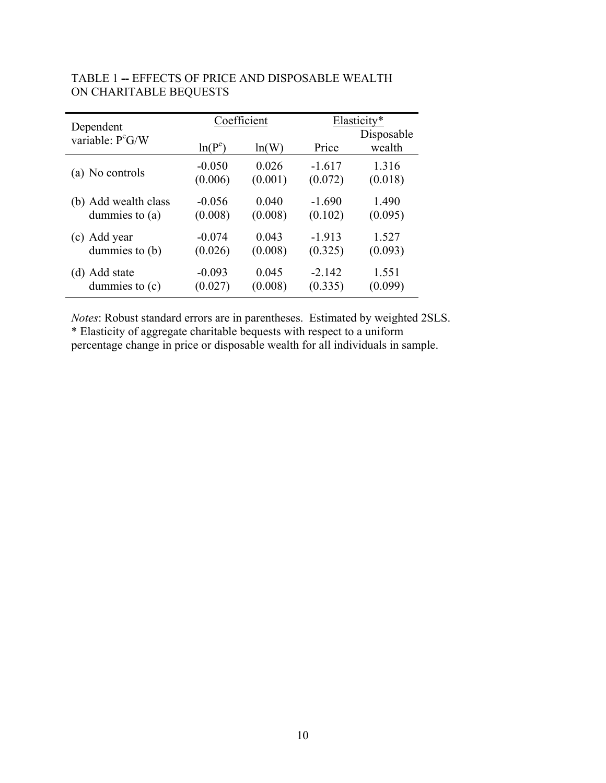| Dependent<br>variable: $P^e$ G/W | Coefficient |         | Elasticity* |            |
|----------------------------------|-------------|---------|-------------|------------|
|                                  |             |         |             | Disposable |
|                                  | $ln(P^e)$   | ln(W)   | Price       | wealth     |
| (a) No controls                  | $-0.050$    | 0.026   | $-1.617$    | 1.316      |
|                                  | (0.006)     | (0.001) | (0.072)     | (0.018)    |
| (b) Add wealth class             | $-0.056$    | 0.040   | $-1.690$    | 1.490      |
| dummies to $(a)$                 | (0.008)     | (0.008) | (0.102)     | (0.095)    |
| (c) Add year                     | $-0.074$    | 0.043   | $-1.913$    | 1.527      |
| dummies to (b)                   | (0.026)     | (0.008) | (0.325)     | (0.093)    |
| (d) Add state                    | $-0.093$    | 0.045   | $-2.142$    | 1.551      |
| dummies to $(c)$                 | (0.027)     | (0.008) | (0.335)     | (0.099)    |

# TABLE 1 **--** EFFECTS OF PRICE AND DISPOSABLE WEALTH ON CHARITABLE BEQUESTS

*Notes*: Robust standard errors are in parentheses. Estimated by weighted 2SLS. \* Elasticity of aggregate charitable bequests with respect to a uniform percentage change in price or disposable wealth for all individuals in sample.